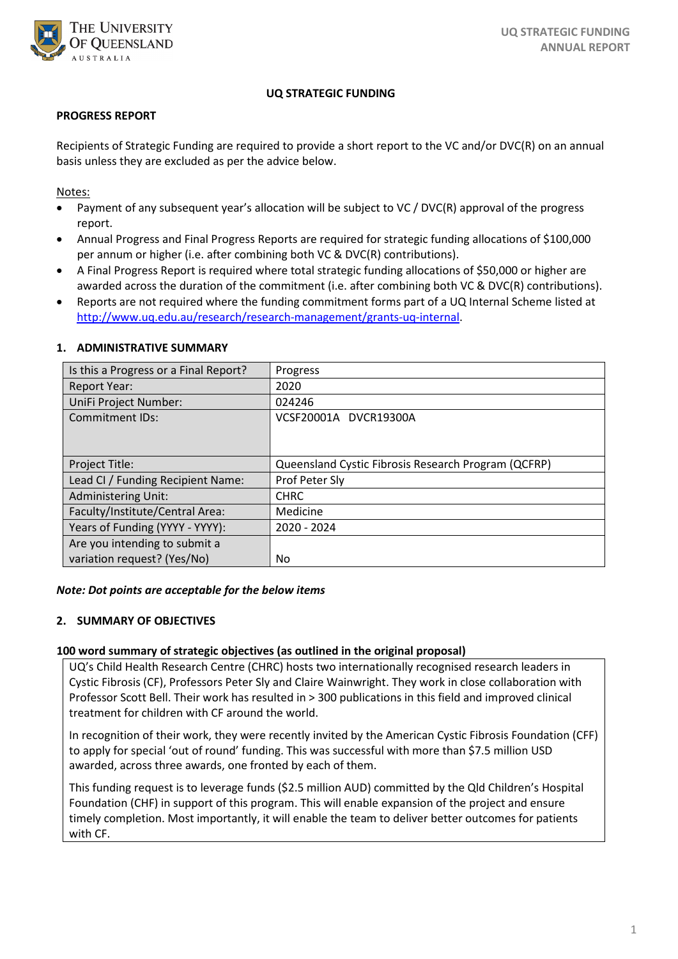

## **UQ STRATEGIC FUNDING**

### **PROGRESS REPORT**

Recipients of Strategic Funding are required to provide a short report to the VC and/or DVC(R) on an annual basis unless they are excluded as per the advice below.

Notes:

- Payment of any subsequent year's allocation will be subject to VC / DVC(R) approval of the progress report.
- Annual Progress and Final Progress Reports are required for strategic funding allocations of \$100,000 per annum or higher (i.e. after combining both VC & DVC(R) contributions).
- A Final Progress Report is required where total strategic funding allocations of \$50,000 or higher are awarded across the duration of the commitment (i.e. after combining both VC & DVC(R) contributions).
- Reports are not required where the funding commitment forms part of a UQ Internal Scheme listed at [http://www.uq.edu.au/research/research-management/grants-uq-internal.](http://www.uq.edu.au/research/research-management/grants-uq-internal)

| Is this a Progress or a Final Report? | Progress                                            |
|---------------------------------------|-----------------------------------------------------|
| <b>Report Year:</b>                   | 2020                                                |
| UniFi Project Number:                 | 024246                                              |
| <b>Commitment IDs:</b>                | VCSF20001A DVCR19300A                               |
|                                       |                                                     |
|                                       |                                                     |
| Project Title:                        | Queensland Cystic Fibrosis Research Program (QCFRP) |
| Lead CI / Funding Recipient Name:     | Prof Peter Sly                                      |
| <b>Administering Unit:</b>            | <b>CHRC</b>                                         |
| Faculty/Institute/Central Area:       | Medicine                                            |
| Years of Funding (YYYY - YYYY):       | 2020 - 2024                                         |
| Are you intending to submit a         |                                                     |
| variation request? (Yes/No)           | No.                                                 |

#### **1. ADMINISTRATIVE SUMMARY**

#### *Note: Dot points are acceptable for the below items*

## **2. SUMMARY OF OBJECTIVES**

#### **100 word summary of strategic objectives (as outlined in the original proposal)**

UQ's Child Health Research Centre (CHRC) hosts two internationally recognised research leaders in Cystic Fibrosis (CF), Professors Peter Sly and Claire Wainwright. They work in close collaboration with Professor Scott Bell. Their work has resulted in > 300 publications in this field and improved clinical treatment for children with CF around the world.

In recognition of their work, they were recently invited by the American Cystic Fibrosis Foundation (CFF) to apply for special 'out of round' funding. This was successful with more than \$7.5 million USD awarded, across three awards, one fronted by each of them.

This funding request is to leverage funds (\$2.5 million AUD) committed by the Qld Children's Hospital Foundation (CHF) in support of this program. This will enable expansion of the project and ensure timely completion. Most importantly, it will enable the team to deliver better outcomes for patients with CF.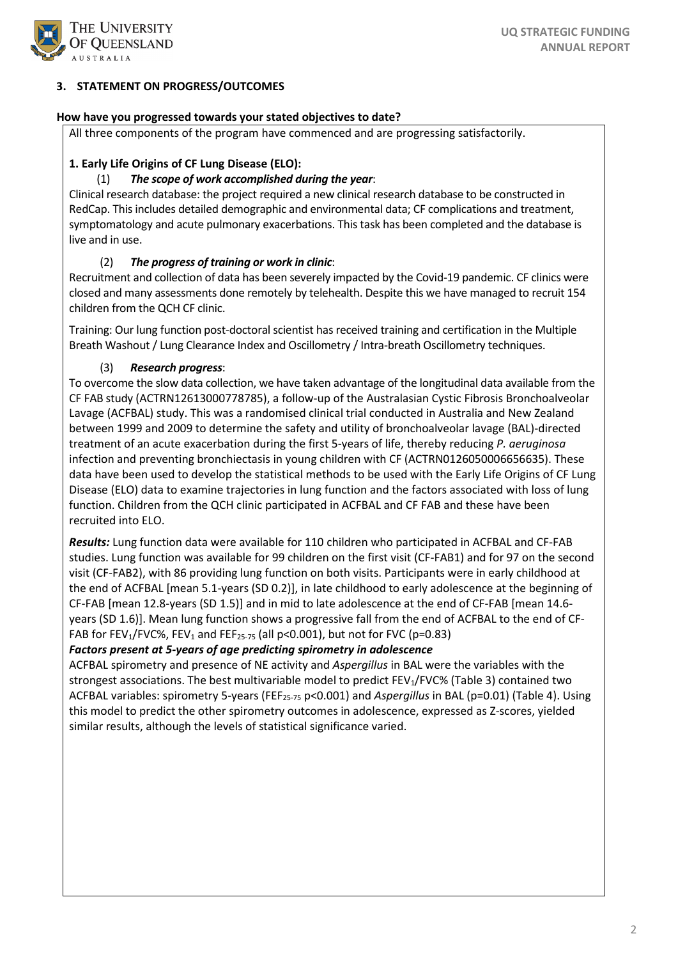

# **3. STATEMENT ON PROGRESS/OUTCOMES**

## **How have you progressed towards your stated objectives to date?**

All three components of the program have commenced and are progressing satisfactorily.

# **1. Early Life Origins of CF Lung Disease (ELO):**

# (1) *The scope of work accomplished during the year*:

Clinical research database: the project required a new clinical research database to be constructed in RedCap. This includes detailed demographic and environmental data; CF complications and treatment, symptomatology and acute pulmonary exacerbations. This task has been completed and the database is live and in use.

# (2) *The progress of training or work in clinic*:

Recruitment and collection of data has been severely impacted by the Covid-19 pandemic. CF clinics were closed and many assessments done remotely by telehealth. Despite this we have managed to recruit 154 children from the QCH CF clinic.

Training: Our lung function post-doctoral scientist has received training and certification in the Multiple Breath Washout / Lung Clearance Index and Oscillometry / Intra-breath Oscillometry techniques.

# (3) *Research progress*:

To overcome the slow data collection, we have taken advantage of the longitudinal data available from the CF FAB study (ACTRN12613000778785), a follow-up of the Australasian Cystic Fibrosis Bronchoalveolar Lavage (ACFBAL) study. This was a randomised clinical trial conducted in Australia and New Zealand between 1999 and 2009 to determine the safety and utility of bronchoalveolar lavage (BAL)-directed treatment of an acute exacerbation during the first 5-years of life, thereby reducing *P. aeruginosa* infection and preventing bronchiectasis in young children with CF (ACTRN0126050006656635). These data have been used to develop the statistical methods to be used with the Early Life Origins of CF Lung Disease (ELO) data to examine trajectories in lung function and the factors associated with loss of lung function. Children from the QCH clinic participated in ACFBAL and CF FAB and these have been recruited into ELO.

*Results:* Lung function data were available for 110 children who participated in ACFBAL and CF-FAB studies. Lung function was available for 99 children on the first visit (CF-FAB1) and for 97 on the second visit (CF-FAB2), with 86 providing lung function on both visits. Participants were in early childhood at the end of ACFBAL [mean 5.1-years (SD 0.2)], in late childhood to early adolescence at the beginning of CF-FAB [mean 12.8-years (SD 1.5)] and in mid to late adolescence at the end of CF-FAB [mean 14.6 years (SD 1.6)]. Mean lung function shows a progressive fall from the end of ACFBAL to the end of CF-FAB for FEV<sub>1</sub>/FVC%, FEV<sub>1</sub> and FEF<sub>25-75</sub> (all p<0.001), but not for FVC (p=0.83)

# *Factors present at 5-years of age predicting spirometry in adolescence*

ACFBAL spirometry and presence of NE activity and *Aspergillus* in BAL were the variables with the strongest associations. The best multivariable model to predict FEV<sub>1</sub>/FVC% (Table 3) contained two ACFBAL variables: spirometry 5-years (FEF<sub>25-75</sub> p<0.001) and *Aspergillus* in BAL (p=0.01) (Table 4). Using this model to predict the other spirometry outcomes in adolescence, expressed as Z-scores, yielded similar results, although the levels of statistical significance varied.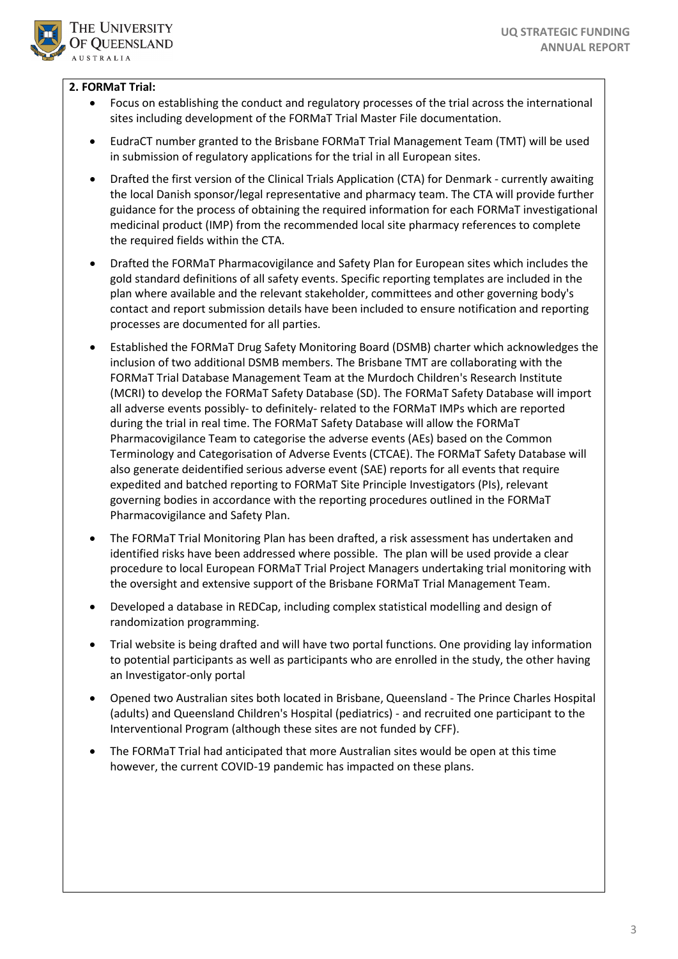

# **2. FORMaT Trial:**

- Focus on establishing the conduct and regulatory processes of the trial across the international sites including development of the FORMaT Trial Master File documentation.
- EudraCT number granted to the Brisbane FORMaT Trial Management Team (TMT) will be used in submission of regulatory applications for the trial in all European sites.
- Drafted the first version of the Clinical Trials Application (CTA) for Denmark currently awaiting the local Danish sponsor/legal representative and pharmacy team. The CTA will provide further guidance for the process of obtaining the required information for each FORMaT investigational medicinal product (IMP) from the recommended local site pharmacy references to complete the required fields within the CTA.
- Drafted the FORMaT Pharmacovigilance and Safety Plan for European sites which includes the gold standard definitions of all safety events. Specific reporting templates are included in the plan where available and the relevant stakeholder, committees and other governing body's contact and report submission details have been included to ensure notification and reporting processes are documented for all parties.
- Established the FORMaT Drug Safety Monitoring Board (DSMB) charter which acknowledges the inclusion of two additional DSMB members. The Brisbane TMT are collaborating with the FORMaT Trial Database Management Team at the Murdoch Children's Research Institute (MCRI) to develop the FORMaT Safety Database (SD). The FORMaT Safety Database will import all adverse events possibly- to definitely- related to the FORMaT IMPs which are reported during the trial in real time. The FORMaT Safety Database will allow the FORMaT Pharmacovigilance Team to categorise the adverse events (AEs) based on the Common Terminology and Categorisation of Adverse Events (CTCAE). The FORMaT Safety Database will also generate deidentified serious adverse event (SAE) reports for all events that require expedited and batched reporting to FORMaT Site Principle Investigators (PIs), relevant governing bodies in accordance with the reporting procedures outlined in the FORMaT Pharmacovigilance and Safety Plan.
- The FORMaT Trial Monitoring Plan has been drafted, a risk assessment has undertaken and identified risks have been addressed where possible. The plan will be used provide a clear procedure to local European FORMaT Trial Project Managers undertaking trial monitoring with the oversight and extensive support of the Brisbane FORMaT Trial Management Team.
- Developed a database in REDCap, including complex statistical modelling and design of randomization programming.
- Trial website is being drafted and will have two portal functions. One providing lay information to potential participants as well as participants who are enrolled in the study, the other having an Investigator-only portal
- Opened two Australian sites both located in Brisbane, Queensland The Prince Charles Hospital (adults) and Queensland Children's Hospital (pediatrics) - and recruited one participant to the Interventional Program (although these sites are not funded by CFF).
- The FORMaT Trial had anticipated that more Australian sites would be open at this time however, the current COVID-19 pandemic has impacted on these plans.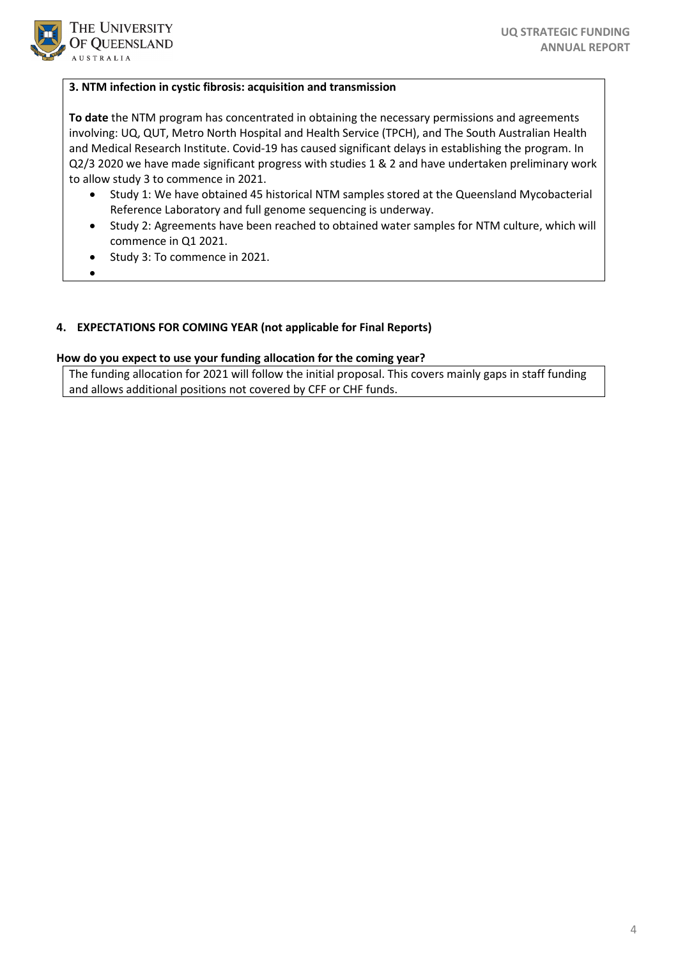

### **3. NTM infection in cystic fibrosis: acquisition and transmission**

**To date** the NTM program has concentrated in obtaining the necessary permissions and agreements involving: UQ, QUT, Metro North Hospital and Health Service (TPCH), and The South Australian Health and Medical Research Institute. Covid-19 has caused significant delays in establishing the program. In Q2/3 2020 we have made significant progress with studies 1 & 2 and have undertaken preliminary work to allow study 3 to commence in 2021.

- Study 1: We have obtained 45 historical NTM samples stored at the Queensland Mycobacterial Reference Laboratory and full genome sequencing is underway.
- Study 2: Agreements have been reached to obtained water samples for NTM culture, which will commence in Q1 2021.
- Study 3: To commence in 2021.
- •

## **4. EXPECTATIONS FOR COMING YEAR (not applicable for Final Reports)**

#### **How do you expect to use your funding allocation for the coming year?**

The funding allocation for 2021 will follow the initial proposal. This covers mainly gaps in staff funding and allows additional positions not covered by CFF or CHF funds.